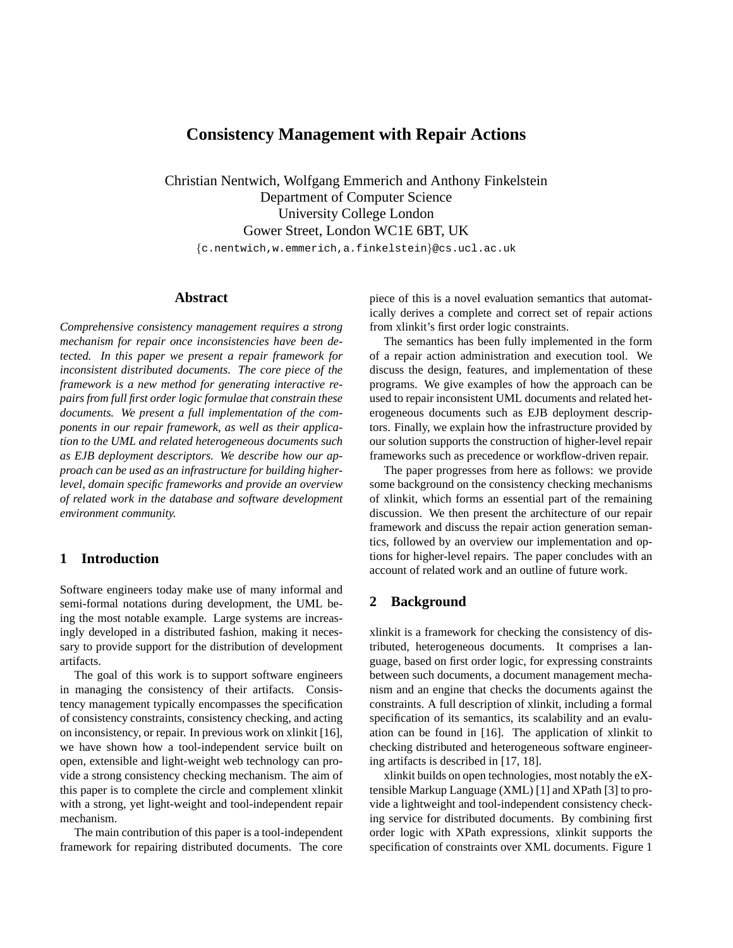# **Consistency Management with Repair Actions**

Christian Nentwich, Wolfgang Emmerich and Anthony Finkelstein Department of Computer Science University College London Gower Street, London WC1E 6BT, UK

{c.nentwich,w.emmerich,a.finkelstein}@cs.ucl.ac.uk

# **Abstract**

*Comprehensive consistency management requires a strong mechanism for repair once inconsistencies have been detected. In this paper we present a repair framework for inconsistent distributed documents. The core piece of the framework is a new method for generating interactive repairs from full first order logic formulae that constrain these documents. We present a full implementation of the components in our repair framework, as well as their application to the UML and related heterogeneous documents such as EJB deployment descriptors. We describe how our approach can be used as an infrastructure for building higherlevel, domain specific frameworks and provide an overview of related work in the database and software development environment community.*

# **1 Introduction**

Software engineers today make use of many informal and semi-formal notations during development, the UML being the most notable example. Large systems are increasingly developed in a distributed fashion, making it necessary to provide support for the distribution of development artifacts.

The goal of this work is to support software engineers in managing the consistency of their artifacts. Consistency management typically encompasses the specification of consistency constraints, consistency checking, and acting on inconsistency, or repair. In previous work on xlinkit [16], we have shown how a tool-independent service built on open, extensible and light-weight web technology can provide a strong consistency checking mechanism. The aim of this paper is to complete the circle and complement xlinkit with a strong, yet light-weight and tool-independent repair mechanism.

The main contribution of this paper is a tool-independent framework for repairing distributed documents. The core piece of this is a novel evaluation semantics that automatically derives a complete and correct set of repair actions from xlinkit's first order logic constraints.

The semantics has been fully implemented in the form of a repair action administration and execution tool. We discuss the design, features, and implementation of these programs. We give examples of how the approach can be used to repair inconsistent UML documents and related heterogeneous documents such as EJB deployment descriptors. Finally, we explain how the infrastructure provided by our solution supports the construction of higher-level repair frameworks such as precedence or workflow-driven repair.

The paper progresses from here as follows: we provide some background on the consistency checking mechanisms of xlinkit, which forms an essential part of the remaining discussion. We then present the architecture of our repair framework and discuss the repair action generation semantics, followed by an overview our implementation and options for higher-level repairs. The paper concludes with an account of related work and an outline of future work.

### **2 Background**

xlinkit is a framework for checking the consistency of distributed, heterogeneous documents. It comprises a language, based on first order logic, for expressing constraints between such documents, a document management mechanism and an engine that checks the documents against the constraints. A full description of xlinkit, including a formal specification of its semantics, its scalability and an evaluation can be found in [16]. The application of xlinkit to checking distributed and heterogeneous software engineering artifacts is described in [17, 18].

xlinkit builds on open technologies, most notably the eXtensible Markup Language (XML) [1] and XPath [3] to provide a lightweight and tool-independent consistency checking service for distributed documents. By combining first order logic with XPath expressions, xlinkit supports the specification of constraints over XML documents. Figure 1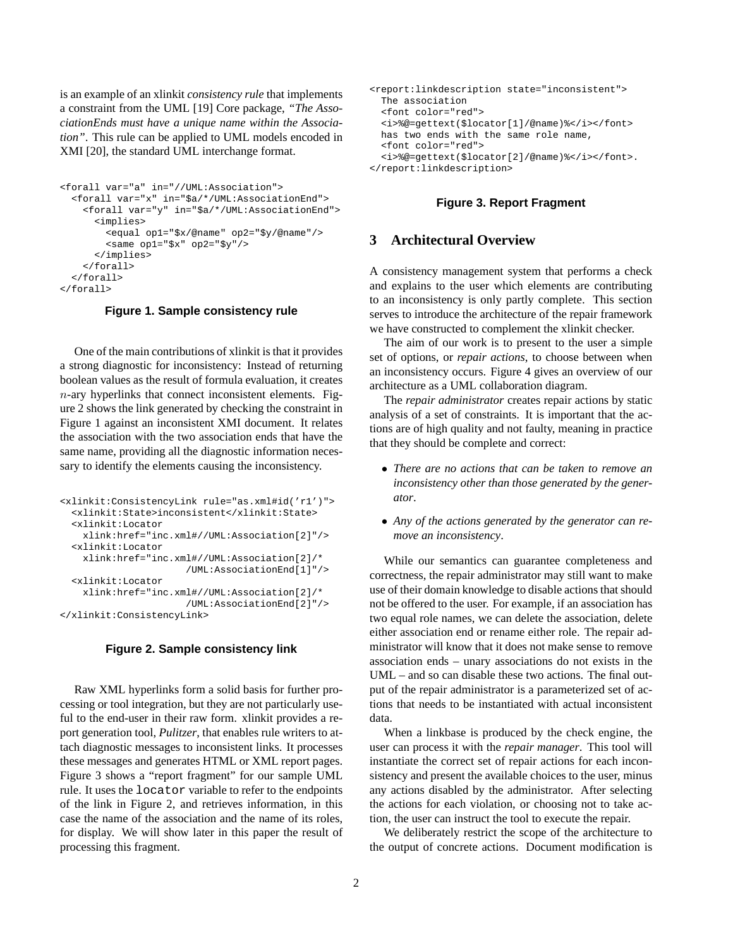is an example of an xlinkit *consistency rule* that implements a constraint from the UML [19] Core package, *"The AssociationEnds must have a unique name within the Association"*. This rule can be applied to UML models encoded in XMI [20], the standard UML interchange format.

```
<forall var="a" in="//UML:Association">
  <forall var="x" in="$a/*/UML:AssociationEnd">
    <forall var="y" in="$a/*/UML:AssociationEnd">
      <implies>
         <equal op1="$x/@name" op2="$y/@name"/>
         \text{same } op1="\frac{5}{2}x" op2="\frac{5}{2}y"/>
      </implies>
    </forall>
  </forall>
</forall>
```
#### **Figure 1. Sample consistency rule**

One of the main contributions of xlinkit is that it provides a strong diagnostic for inconsistency: Instead of returning boolean values as the result of formula evaluation, it creates  $n$ -ary hyperlinks that connect inconsistent elements. Figure 2 shows the link generated by checking the constraint in Figure 1 against an inconsistent XMI document. It relates the association with the two association ends that have the same name, providing all the diagnostic information necessary to identify the elements causing the inconsistency.

```
<xlinkit:ConsistencyLink rule="as.xml#id('r1')">
  <xlinkit:State>inconsistent</xlinkit:State>
  <xlinkit:Locator
   xlink:href="inc.xml#//UML:Association[2]"/>
  <xlinkit:Locator
   xlink:href="inc.xml#//UML:Association[2]/*
                      /UML:AssociationEnd[1]"/>
  <xlinkit:Locator
   xlink:href="inc.xml#//UML:Association[2]/*
                      /UML:AssociationEnd[2]"/>
</xlinkit:ConsistencyLink>
```
### **Figure 2. Sample consistency link**

Raw XML hyperlinks form a solid basis for further processing or tool integration, but they are not particularly useful to the end-user in their raw form. xlinkit provides a report generation tool, *Pulitzer*, that enables rule writers to attach diagnostic messages to inconsistent links. It processes these messages and generates HTML or XML report pages. Figure 3 shows a "report fragment" for our sample UML rule. It uses the locator variable to refer to the endpoints of the link in Figure 2, and retrieves information, in this case the name of the association and the name of its roles, for display. We will show later in this paper the result of processing this fragment.

```
<report:linkdescription state="inconsistent">
 The association
  <font color="red">
  <i>%@=gettext($locator[1]/@name)%</i></font>
 has two ends with the same role name,
  <font color="red">
  <i>%@=gettext($locator[2]/@name)%</i></font>.
</report:linkdescription>
```
#### **Figure 3. Report Fragment**

# **3 Architectural Overview**

A consistency management system that performs a check and explains to the user which elements are contributing to an inconsistency is only partly complete. This section serves to introduce the architecture of the repair framework we have constructed to complement the xlinkit checker.

The aim of our work is to present to the user a simple set of options, or *repair actions*, to choose between when an inconsistency occurs. Figure 4 gives an overview of our architecture as a UML collaboration diagram.

The *repair administrator* creates repair actions by static analysis of a set of constraints. It is important that the actions are of high quality and not faulty, meaning in practice that they should be complete and correct:

- *There are no actions that can be taken to remove an inconsistency other than those generated by the generator*.
- *Any of the actions generated by the generator can remove an inconsistency*.

While our semantics can guarantee completeness and correctness, the repair administrator may still want to make use of their domain knowledge to disable actions that should not be offered to the user. For example, if an association has two equal role names, we can delete the association, delete either association end or rename either role. The repair administrator will know that it does not make sense to remove association ends – unary associations do not exists in the UML – and so can disable these two actions. The final output of the repair administrator is a parameterized set of actions that needs to be instantiated with actual inconsistent data.

When a linkbase is produced by the check engine, the user can process it with the *repair manager*. This tool will instantiate the correct set of repair actions for each inconsistency and present the available choices to the user, minus any actions disabled by the administrator. After selecting the actions for each violation, or choosing not to take action, the user can instruct the tool to execute the repair.

We deliberately restrict the scope of the architecture to the output of concrete actions. Document modification is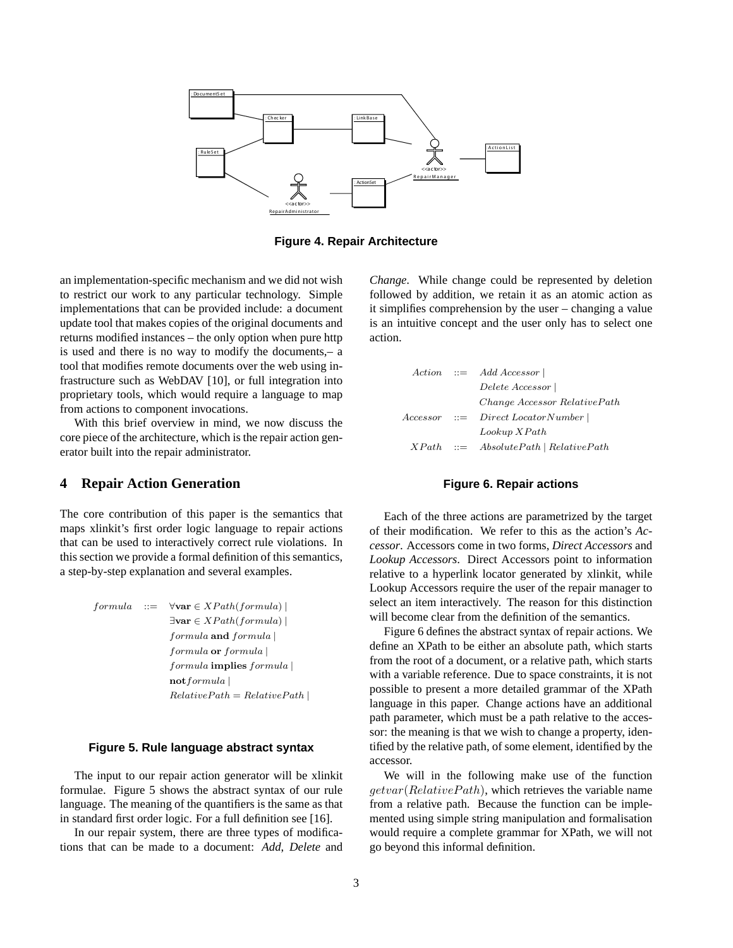

**Figure 4. Repair Architecture**

an implementation-specific mechanism and we did not wish to restrict our work to any particular technology. Simple implementations that can be provided include: a document update tool that makes copies of the original documents and returns modified instances – the only option when pure http is used and there is no way to modify the documents,– a tool that modifies remote documents over the web using infrastructure such as WebDAV [10], or full integration into proprietary tools, which would require a language to map from actions to component invocations.

With this brief overview in mind, we now discuss the core piece of the architecture, which is the repair action generator built into the repair administrator.

# **4 Repair Action Generation**

The core contribution of this paper is the semantics that maps xlinkit's first order logic language to repair actions that can be used to interactively correct rule violations. In this section we provide a formal definition of this semantics, a step-by-step explanation and several examples.

> formula  $::= \forall \textbf{var} \in XPath(formula) |$  $\exists \textbf{var} \in XPath(fromula)$  $formula$  and  $formula$  $formula$  or  $formula$   $|$ formula implies formula | notf ormula |  $Relative Path = Relative Path$

#### **Figure 5. Rule language abstract syntax**

The input to our repair action generator will be xlinkit formulae. Figure 5 shows the abstract syntax of our rule language. The meaning of the quantifiers is the same as that in standard first order logic. For a full definition see [16].

In our repair system, there are three types of modifications that can be made to a document: *Add*, *Delete* and *Change*. While change could be represented by deletion followed by addition, we retain it as an atomic action as it simplifies comprehension by the user – changing a value is an intuitive concept and the user only has to select one action.

|             | $Action ::= Add Accessor$           |
|-------------|-------------------------------------|
|             | Delete Accessor                     |
|             | Change Accessor RelativePath        |
|             | $Accessor ::= Direct LocatorNumber$ |
|             | $Lookup$ $XPath$                    |
| $XPath$ ::= | AbsolutePath   RelativePath         |

#### **Figure 6. Repair actions**

Each of the three actions are parametrized by the target of their modification. We refer to this as the action's *Accessor*. Accessors come in two forms, *Direct Accessors* and *Lookup Accessors*. Direct Accessors point to information relative to a hyperlink locator generated by xlinkit, while Lookup Accessors require the user of the repair manager to select an item interactively. The reason for this distinction will become clear from the definition of the semantics.

Figure 6 defines the abstract syntax of repair actions. We define an XPath to be either an absolute path, which starts from the root of a document, or a relative path, which starts with a variable reference. Due to space constraints, it is not possible to present a more detailed grammar of the XPath language in this paper. Change actions have an additional path parameter, which must be a path relative to the accessor: the meaning is that we wish to change a property, identified by the relative path, of some element, identified by the accessor.

We will in the following make use of the function  $qetvar(Relative Path)$ , which retrieves the variable name from a relative path. Because the function can be implemented using simple string manipulation and formalisation would require a complete grammar for XPath, we will not go beyond this informal definition.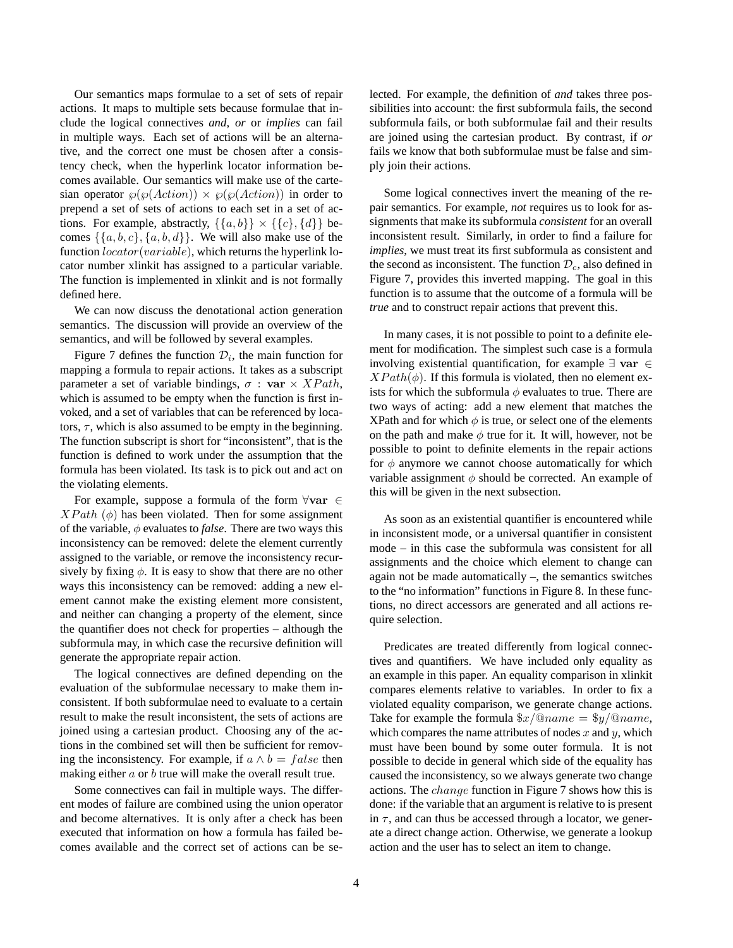Our semantics maps formulae to a set of sets of repair actions. It maps to multiple sets because formulae that include the logical connectives *and*, *or* or *implies* can fail in multiple ways. Each set of actions will be an alternative, and the correct one must be chosen after a consistency check, when the hyperlink locator information becomes available. Our semantics will make use of the cartesian operator  $\wp(\wp(Action)) \times \wp(\wp(Action))$  in order to prepend a set of sets of actions to each set in a set of actions. For example, abstractly,  $\{\{a,b\}\}\times \{\{c\},\{d\}\}\$ becomes  $\{\{a, b, c\}, \{a, b, d\}\}\$ . We will also make use of the function  $location(variable)$ , which returns the hyperlink locator number xlinkit has assigned to a particular variable. The function is implemented in xlinkit and is not formally defined here.

We can now discuss the denotational action generation semantics. The discussion will provide an overview of the semantics, and will be followed by several examples.

Figure 7 defines the function  $\mathcal{D}_i$ , the main function for mapping a formula to repair actions. It takes as a subscript parameter a set of variable bindings,  $\sigma$ : var  $\times$   $XPath$ , which is assumed to be empty when the function is first invoked, and a set of variables that can be referenced by locators,  $\tau$ , which is also assumed to be empty in the beginning. The function subscript is short for "inconsistent", that is the function is defined to work under the assumption that the formula has been violated. Its task is to pick out and act on the violating elements.

For example, suppose a formula of the form  $\forall$ **var**  $\in$  $XPath(\phi)$  has been violated. Then for some assignment of the variable, φ evaluates to *false*. There are two ways this inconsistency can be removed: delete the element currently assigned to the variable, or remove the inconsistency recursively by fixing  $\phi$ . It is easy to show that there are no other ways this inconsistency can be removed: adding a new element cannot make the existing element more consistent, and neither can changing a property of the element, since the quantifier does not check for properties – although the subformula may, in which case the recursive definition will generate the appropriate repair action.

The logical connectives are defined depending on the evaluation of the subformulae necessary to make them inconsistent. If both subformulae need to evaluate to a certain result to make the result inconsistent, the sets of actions are joined using a cartesian product. Choosing any of the actions in the combined set will then be sufficient for removing the inconsistency. For example, if  $a \wedge b = false$  then making either a or b true will make the overall result true.

Some connectives can fail in multiple ways. The different modes of failure are combined using the union operator and become alternatives. It is only after a check has been executed that information on how a formula has failed becomes available and the correct set of actions can be selected. For example, the definition of *and* takes three possibilities into account: the first subformula fails, the second subformula fails, or both subformulae fail and their results are joined using the cartesian product. By contrast, if *or* fails we know that both subformulae must be false and simply join their actions.

Some logical connectives invert the meaning of the repair semantics. For example, *not* requires us to look for assignments that make its subformula *consistent* for an overall inconsistent result. Similarly, in order to find a failure for *implies*, we must treat its first subformula as consistent and the second as inconsistent. The function  $\mathcal{D}_c$ , also defined in Figure 7, provides this inverted mapping. The goal in this function is to assume that the outcome of a formula will be *true* and to construct repair actions that prevent this.

In many cases, it is not possible to point to a definite element for modification. The simplest such case is a formula involving existential quantification, for example ∃ var ∈  $XPath(\phi)$ . If this formula is violated, then no element exists for which the subformula  $\phi$  evaluates to true. There are two ways of acting: add a new element that matches the XPath and for which  $\phi$  is true, or select one of the elements on the path and make  $\phi$  true for it. It will, however, not be possible to point to definite elements in the repair actions for  $\phi$  anymore we cannot choose automatically for which variable assignment  $\phi$  should be corrected. An example of this will be given in the next subsection.

As soon as an existential quantifier is encountered while in inconsistent mode, or a universal quantifier in consistent mode – in this case the subformula was consistent for all assignments and the choice which element to change can again not be made automatically  $-$ , the semantics switches to the "no information" functions in Figure 8. In these functions, no direct accessors are generated and all actions require selection.

Predicates are treated differently from logical connectives and quantifiers. We have included only equality as an example in this paper. An equality comparison in xlinkit compares elements relative to variables. In order to fix a violated equality comparison, we generate change actions. Take for example the formula  $x/\textcirc a$  ame =  $y/\textcirc a$  ame, which compares the name attributes of nodes x and  $y$ , which must have been bound by some outer formula. It is not possible to decide in general which side of the equality has caused the inconsistency, so we always generate two change actions. The change function in Figure 7 shows how this is done: if the variable that an argument is relative to is present in  $\tau$ , and can thus be accessed through a locator, we generate a direct change action. Otherwise, we generate a lookup action and the user has to select an item to change.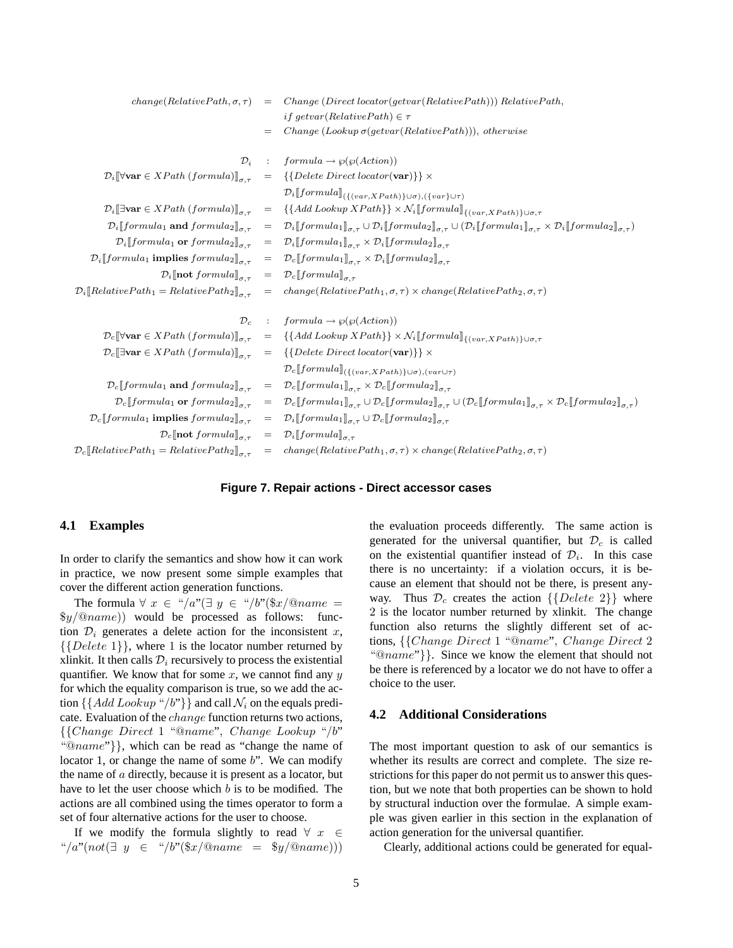|                                                                                                                                         |     | $change(RelativePath, \sigma, \tau) = Change(Direct location(getvar(RelativePath))) RelativePath,$                                                                                                                                                                        |
|-----------------------------------------------------------------------------------------------------------------------------------------|-----|---------------------------------------------------------------------------------------------------------------------------------------------------------------------------------------------------------------------------------------------------------------------------|
|                                                                                                                                         |     | <i>if getvar</i> ( $RelativePath$ ) $\in \tau$                                                                                                                                                                                                                            |
|                                                                                                                                         | $=$ | Change (Lookup $\sigma(getvar(RelativePath)))$ , otherwise                                                                                                                                                                                                                |
|                                                                                                                                         |     | $\mathcal{D}_i$ : formula $\rightarrow \wp(\wp(Action))$                                                                                                                                                                                                                  |
| $\mathcal{D}_i$ $[\forall \textbf{var} \in XPath \ (formula)]_{\sigma,\tau}$ = {{Delete Direct locator( $\textbf{var}$ )}} $\times$     |     |                                                                                                                                                                                                                                                                           |
|                                                                                                                                         |     | $\mathcal{D}_i$ [[formula] <sub>({(var</sub> , <i>XPath</i> )} $\cup \sigma$ ),({var} $\cup \tau$ )                                                                                                                                                                       |
| $\mathcal{D}_i$ [ $\exists$ var $\in XPath$ (formula)] <sub><math>\sigma, \tau</math></sub>                                             |     | $= \quad {\rm \{\text{Add} \text{ Look} up \text{ } XPath\}} \times \mathcal{N}_i {\rm \llbracket formula \rrbracket}_{\{(var,XPath)\} \cup \sigma, \tau}$                                                                                                                |
| $\mathcal{D}_i$ [formula <sub>1</sub> and formula <sub>2</sub> ] <sub><math>\sigma</math>,<math>\tau</math></sub>                       |     | $= \mathcal{D}_i \llbracket formula_1 \rrbracket_{\sigma,\tau} \cup \mathcal{D}_i \llbracket formula_2 \rrbracket_{\sigma,\tau} \cup (\mathcal{D}_i \llbracket formula_1 \rrbracket_{\sigma,\tau} \times \mathcal{D}_i \llbracket formula_2 \rrbracket_{\sigma,\tau})$    |
|                                                                                                                                         |     | $\mathcal{D}_i$ [formula <sub>1</sub> or formula <sub>2</sub> ] <sub><math>\sigma, \tau</math></sub> = $\mathcal{D}_i$ [formula <sub>1</sub> ] <sub><math>\sigma, \tau</math></sub> × $\mathcal{D}_i$ [formula <sub>2</sub> ] <sub><math>\sigma, \tau</math></sub>        |
|                                                                                                                                         |     | $\mathcal{D}_i$ [formula <sub>1</sub> implies formula <sub>2</sub> ] <sub><math>\sigma, \tau</math></sub> = $\mathcal{D}_c$ [formula <sub>1</sub> ] <sub><math>\sigma, \tau \times \mathcal{D}_i</math> [formula<sub>2</sub>]<sub><math>\sigma, \tau</math></sub></sub>   |
| $\mathcal{D}_i$ [not formula] <sub><math>\sigma_{i\tau}</math></sub> = $\mathcal{D}_c$ [formula] <sub><math>\sigma_{i\tau}</math></sub> |     |                                                                                                                                                                                                                                                                           |
| $\mathcal{D}_i$ [[RelativePath <sub>1</sub> = RelativePath <sub>2</sub> ] <sub><math>\sigma</math>,<math>\tau</math></sub>              | $=$ | $change(RelativePath_1, \sigma, \tau) \times change(RelativePath_2, \sigma, \tau)$                                                                                                                                                                                        |
|                                                                                                                                         |     | $\mathcal{D}_c$ : formula $\rightarrow \wp(\wp(Action))$                                                                                                                                                                                                                  |
|                                                                                                                                         |     | $\mathcal{D}_c[\![\forall \text{var} \in XPath \ (formula)]\!]_{\sigma,\tau} = \{ \{Add \ Lookup XPath \} \} \times \mathcal{N}_i[\![formula]\!]_{\{(var, XPath)\} \cup \sigma,\tau}$                                                                                     |
| $\mathcal{D}_c$ [ $\exists$ var $\in XPath$ (formula)] <sub><math>\sigma.\tau</math></sub>                                              |     | $= \{ \{Delete\ Direct\ location(\mathbf{var}) \} \} \times$                                                                                                                                                                                                              |
|                                                                                                                                         |     | $\mathcal{D}_c$ [formula] <sub>({(var</sub> , XPath)} $\cup \sigma$ ),(var $\cup \tau$ )                                                                                                                                                                                  |
| $\mathcal{D}_c$ [formula <sub>1</sub> and formula <sub>2</sub> ] <sub><math>\sigma</math>,<math>\tau</math></sub>                       |     | $= \mathcal{D}_c[[formula_1]]_{\sigma,\tau} \times \mathcal{D}_c[[formula_2]]_{\sigma,\tau}$                                                                                                                                                                              |
| $\mathcal{D}_c$ [formula <sub>1</sub> or formula <sub>2</sub> ] <sub><math>\sigma, \tau</math></sub>                                    |     | $= \mathcal{D}_c[[formula_1]]_{\sigma,\tau} \cup \mathcal{D}_c[[formula_2]]_{\sigma,\tau} \cup (\mathcal{D}_c[[formula_1]]_{\sigma,\tau} \times \mathcal{D}_c[[formula_2]]_{\sigma,\tau})$                                                                                |
|                                                                                                                                         |     | $\mathcal{D}_c$ [formula <sub>1</sub> implies formula <sub>2</sub> ] <sub><math>\sigma,\tau</math></sub> = $\mathcal{D}_i$ [formula <sub>1</sub> ] <sub><math>\sigma,\tau</math></sub> $\cup$ $\mathcal{D}_c$ [formula <sub>2</sub> ] <sub><math>\sigma,\tau</math></sub> |
| $\mathcal{D}_c$ [not formula] <sub><math>\sigma_{\tau}</math></sub> = $\mathcal{D}_i$ [[formula] <sub><math>\sigma_{\tau}</math></sub>  |     |                                                                                                                                                                                                                                                                           |
| $\mathcal{D}_c[\text{RelativePath}_1 = \text{RelativePath}_2]_{\sigma,\tau}$                                                            | $=$ | $change(RelativePath_1, \sigma, \tau) \times change(RelativePath_2, \sigma, \tau)$                                                                                                                                                                                        |

# **Figure 7. Repair actions - Direct accessor cases**

#### **4.1 Examples**

In order to clarify the semantics and show how it can work in practice, we now present some simple examples that cover the different action generation functions.

The formula  $\forall x \in$  "/a"( $\exists y \in$  "/b"( $\frac{\partial x}{\partial a}$ mame =  $\frac{6}{3}y$ /@name)) would be processed as follows: function  $\mathcal{D}_i$  generates a delete action for the inconsistent x,  $\{Delete 1\}$ , where 1 is the locator number returned by xlinkit. It then calls  $\mathcal{D}_i$  recursively to process the existential quantifier. We know that for some  $x$ , we cannot find any  $y$ for which the equality comparison is true, so we add the action  $\{Add\ Lookup``/b"\}$  and call  $\mathcal{N}_i$  on the equals predicate. Evaluation of the change function returns two actions, {{Change Direct 1 "@name", Change Lookup "/b" " $@name"$ }, which can be read as "change the name of locator 1, or change the name of some b". We can modify the name of a directly, because it is present as a locator, but have to let the user choose which  $b$  is to be modified. The actions are all combined using the times operator to form a set of four alternative actions for the user to choose.

If we modify the formula slightly to read  $\forall x \in$  $\sqrt[n]{a^n}(not \in y \in \sqrt[n]{b^n}(\text{for } name = \text{for } (0 \text{ or } name))$  the evaluation proceeds differently. The same action is generated for the universal quantifier, but  $\mathcal{D}_c$  is called on the existential quantifier instead of  $\mathcal{D}_i$ . In this case there is no uncertainty: if a violation occurs, it is because an element that should not be there, is present anyway. Thus  $\mathcal{D}_c$  creates the action  $\{\{Delete\ 2\}\}\$  where 2 is the locator number returned by xlinkit. The change function also returns the slightly different set of actions, {{Change Direct 1 "@name", Change Direct 2 " $@name"$ }. Since we know the element that should not be there is referenced by a locator we do not have to offer a choice to the user.

#### **4.2 Additional Considerations**

The most important question to ask of our semantics is whether its results are correct and complete. The size restrictions for this paper do not permit us to answer this question, but we note that both properties can be shown to hold by structural induction over the formulae. A simple example was given earlier in this section in the explanation of action generation for the universal quantifier.

Clearly, additional actions could be generated for equal-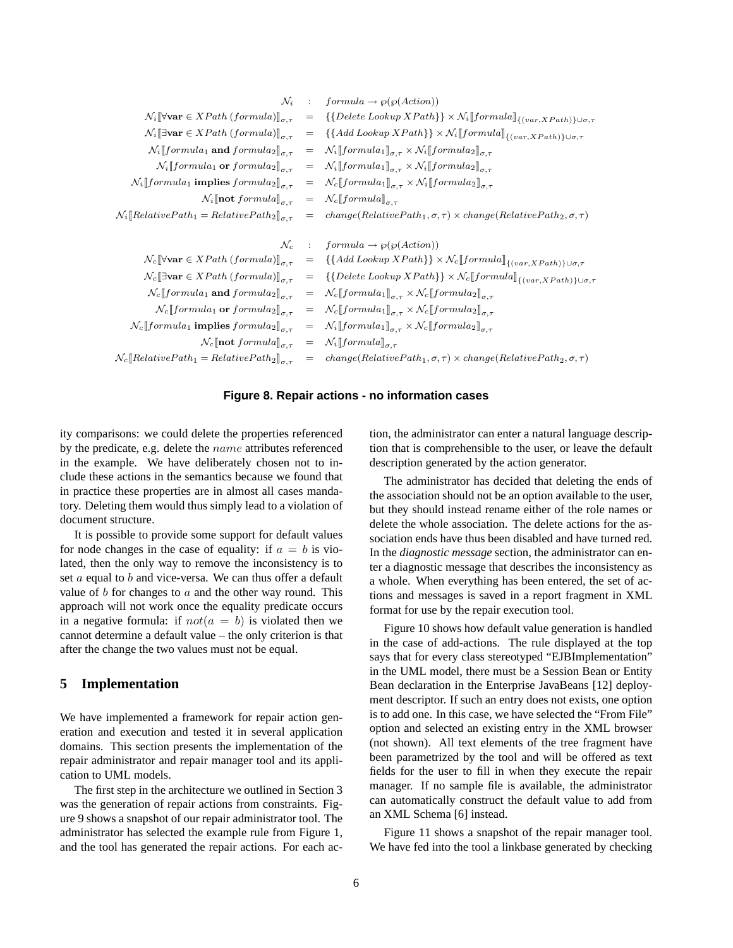|                                                                                                                                      | $\mathcal{N}_i$ : formula $\rightarrow \wp(\wp(Action))$                                                                                                                         |
|--------------------------------------------------------------------------------------------------------------------------------------|----------------------------------------------------------------------------------------------------------------------------------------------------------------------------------|
| $\mathcal{N}_i$ [ $\forall$ <b>var</b> $\in$ <i>XPath</i> ( <i>formula</i> )] <sub><math>\sigma</math>,<math>\tau</math></sub>       | $= \quad {\text{{\sf {{[Delete Lookup XPath]} \}}}} \times \mathcal{N}_i {\text{{\sf {[formula]}}}}_{{\text{{\sf {{[(var,XPath)} \}}}\cup \sigma, \tau}}$                        |
| $\mathcal{N}_i$ [] $\exists \textbf{var} \in XPath \ (formula)$ ] <sub><math>\sigma, \tau</math></sub>                               | $= \{ \{Add\ Lookup XPath \} \} \times \mathcal{N}_i[[formula]]_{\{(var,XPath)\}\cup \sigma,\tau}$                                                                               |
| $\mathcal{N}_i$ [[formula <sub>1</sub> and formula <sub>2</sub> ] $_{\sigma,\tau}$                                                   | $= \mathcal{N}_i \llbracket \text{formula}_1 \rrbracket_{\sigma,\tau} \times \mathcal{N}_i \llbracket \text{formula}_2 \rrbracket_{\sigma,\tau}$                                 |
| $\mathcal{N}_i$ [formula <sub>1</sub> or formula <sub>2</sub> ] <sub><math>\sigma</math>,<math>\tau</math></sub>                     | $= \mathcal{N}_i \llbracket \text{formula}_1 \rrbracket_{\sigma,\tau} \times \mathcal{N}_i \llbracket \text{formula}_2 \rrbracket_{\sigma,\tau}$                                 |
| $\mathcal{N}_i$ [formula <sub>1</sub> implies formula <sub>2</sub> ] <sub><math>\sigma_{\tau}</math></sub>                           | $= \mathcal{N}_c[[formula_1]]_{\sigma,\tau} \times \mathcal{N}_i[[formula_2]]_{\sigma,\tau}$                                                                                     |
| $\mathcal{N}_i$ [not formula] <sub><math>\sigma, \tau</math></sub> = $\mathcal{N}_c$ [[formula] <sub><math>\sigma, \tau</math></sub> |                                                                                                                                                                                  |
| $\mathcal{N}_i$ [[RelativePath <sub>1</sub> = RelativePath <sub>2</sub> ] <sub><math>\sigma_{\tau}</math></sub>                      | $= change(RelativePath_1, \sigma, \tau) \times change(RelativePath_2, \sigma, \tau)$                                                                                             |
|                                                                                                                                      |                                                                                                                                                                                  |
|                                                                                                                                      | $\mathcal{N}_c$ : formula $\rightarrow \wp(\wp(Action))$                                                                                                                         |
|                                                                                                                                      | $\mathcal{N}_c[\![\forall \text{var} \in XPath \ (formula)]\!]_{\sigma,\tau} = \{ \{Add\ Lookup XPath\} \} \times \mathcal{N}_c[\![formula]\!]_{\{(var,XPath)\}\cup\sigma,\tau}$ |

| $\mathcal{N}_c$ [ $\exists$ var $\in XPath$ (formula)] <sub><math>\sigma</math>.<math>\tau</math></sub> |  | $= \quad {\text{{\thinspace {\{Delete\, Lookup\, } XPath}}} \}} \times \mathcal{N}_c [\![formula]\!]_{\{(var,XPath)\}\cup \sigma, \tau}$ |
|---------------------------------------------------------------------------------------------------------|--|------------------------------------------------------------------------------------------------------------------------------------------|
|                                                                                                         |  |                                                                                                                                          |

 $\mathcal{N}_c$ [[formula<sub>1</sub> and formula<sub>2</sub>]<sub>σ,τ</sub> =  $\mathcal{N}_c$ [[formula<sub>1</sub>]<sub>σ,τ</sub> ×  $\mathcal{N}_c$ [[formula<sub>2</sub>]<sub>σ,τ</sub>  $N_c$ [[formula<sub>1</sub> or formula<sub>2</sub>]]<sub>σ,τ</sub> =  $N_c$ [[formula<sub>1</sub>]<sub>σ,τ</sub> ×  $N_c$ [[formula<sub>2</sub>]<sub>σ,τ</sub>  $\mathcal{N}_c$ [[formula<sub>1</sub> implies formula<sub>2</sub>]]<sub>σ,τ</sub> =  $\mathcal{N}_i$ [[formula<sub>1</sub>]<sub>σ,τ</sub> ×  $\mathcal{N}_c$ [[formula<sub>2</sub>]<sub>σ,τ</sub>  $\mathcal{N}_c$ [[not formula]]<sub>σ,τ</sub> =  $\mathcal{N}_i$ [[formula]]<sub>σ,τ</sub>  $\mathcal{N}_c[\text{RelativePath}_1 = \text{RelativePath}_2]_{\sigma,\tau} = \text{change}(\text{RelativePath}_1, \sigma, \tau) \times \text{change}(\text{RelativePath}_2, \sigma, \tau)$ 

#### **Figure 8. Repair actions - no information cases**

ity comparisons: we could delete the properties referenced by the predicate, e.g. delete the name attributes referenced in the example. We have deliberately chosen not to include these actions in the semantics because we found that in practice these properties are in almost all cases mandatory. Deleting them would thus simply lead to a violation of document structure.

It is possible to provide some support for default values for node changes in the case of equality: if  $a = b$  is violated, then the only way to remove the inconsistency is to set a equal to b and vice-versa. We can thus offer a default value of  $b$  for changes to  $a$  and the other way round. This approach will not work once the equality predicate occurs in a negative formula: if  $not(a = b)$  is violated then we cannot determine a default value – the only criterion is that after the change the two values must not be equal.

# **5 Implementation**

We have implemented a framework for repair action generation and execution and tested it in several application domains. This section presents the implementation of the repair administrator and repair manager tool and its application to UML models.

The first step in the architecture we outlined in Section 3 was the generation of repair actions from constraints. Figure 9 shows a snapshot of our repair administrator tool. The administrator has selected the example rule from Figure 1, and the tool has generated the repair actions. For each action, the administrator can enter a natural language description that is comprehensible to the user, or leave the default description generated by the action generator.

The administrator has decided that deleting the ends of the association should not be an option available to the user, but they should instead rename either of the role names or delete the whole association. The delete actions for the association ends have thus been disabled and have turned red. In the *diagnostic message* section, the administrator can enter a diagnostic message that describes the inconsistency as a whole. When everything has been entered, the set of actions and messages is saved in a report fragment in XML format for use by the repair execution tool.

Figure 10 shows how default value generation is handled in the case of add-actions. The rule displayed at the top says that for every class stereotyped "EJBImplementation" in the UML model, there must be a Session Bean or Entity Bean declaration in the Enterprise JavaBeans [12] deployment descriptor. If such an entry does not exists, one option is to add one. In this case, we have selected the "From File" option and selected an existing entry in the XML browser (not shown). All text elements of the tree fragment have been parametrized by the tool and will be offered as text fields for the user to fill in when they execute the repair manager. If no sample file is available, the administrator can automatically construct the default value to add from an XML Schema [6] instead.

Figure 11 shows a snapshot of the repair manager tool. We have fed into the tool a linkbase generated by checking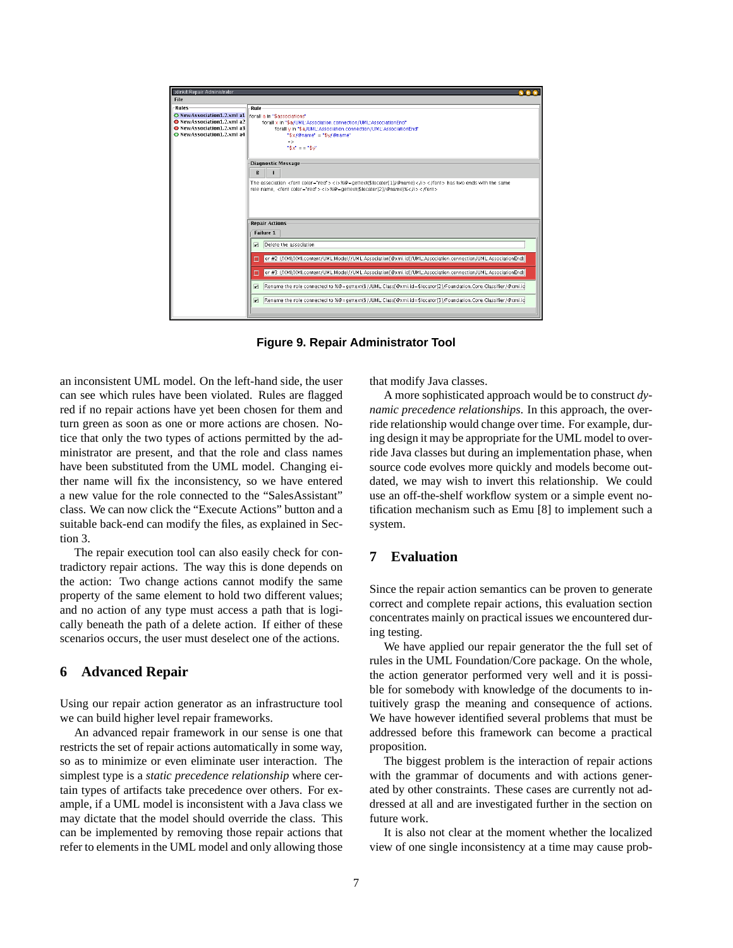

**Figure 9. Repair Administrator Tool**

an inconsistent UML model. On the left-hand side, the user can see which rules have been violated. Rules are flagged red if no repair actions have yet been chosen for them and turn green as soon as one or more actions are chosen. Notice that only the two types of actions permitted by the administrator are present, and that the role and class names have been substituted from the UML model. Changing either name will fix the inconsistency, so we have entered a new value for the role connected to the "SalesAssistant" class. We can now click the "Execute Actions" button and a suitable back-end can modify the files, as explained in Section 3.

The repair execution tool can also easily check for contradictory repair actions. The way this is done depends on the action: Two change actions cannot modify the same property of the same element to hold two different values; and no action of any type must access a path that is logically beneath the path of a delete action. If either of these scenarios occurs, the user must deselect one of the actions.

# **6 Advanced Repair**

Using our repair action generator as an infrastructure tool we can build higher level repair frameworks.

An advanced repair framework in our sense is one that restricts the set of repair actions automatically in some way, so as to minimize or even eliminate user interaction. The simplest type is a *static precedence relationship* where certain types of artifacts take precedence over others. For example, if a UML model is inconsistent with a Java class we may dictate that the model should override the class. This can be implemented by removing those repair actions that refer to elements in the UML model and only allowing those

that modify Java classes.

A more sophisticated approach would be to construct *dynamic precedence relationships*. In this approach, the override relationship would change over time. For example, during design it may be appropriate for the UML model to override Java classes but during an implementation phase, when source code evolves more quickly and models become outdated, we may wish to invert this relationship. We could use an off-the-shelf workflow system or a simple event notification mechanism such as Emu [8] to implement such a system.

### **7 Evaluation**

Since the repair action semantics can be proven to generate correct and complete repair actions, this evaluation section concentrates mainly on practical issues we encountered during testing.

We have applied our repair generator the the full set of rules in the UML Foundation/Core package. On the whole, the action generator performed very well and it is possible for somebody with knowledge of the documents to intuitively grasp the meaning and consequence of actions. We have however identified several problems that must be addressed before this framework can become a practical proposition.

The biggest problem is the interaction of repair actions with the grammar of documents and with actions generated by other constraints. These cases are currently not addressed at all and are investigated further in the section on future work.

It is also not clear at the moment whether the localized view of one single inconsistency at a time may cause prob-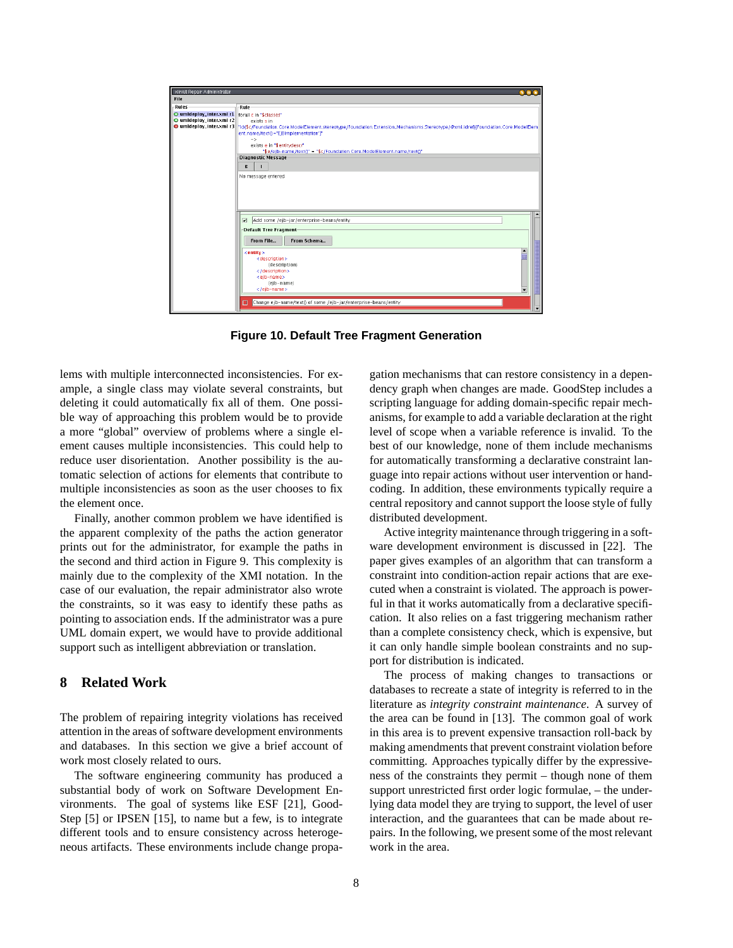| xlinkit Repair Administrator |                                                                                                                                  |  |  |  |  |
|------------------------------|----------------------------------------------------------------------------------------------------------------------------------|--|--|--|--|
| File                         |                                                                                                                                  |  |  |  |  |
| <b>Rules</b>                 | <b>Rule</b>                                                                                                                      |  |  |  |  |
| O umideploy_inter.xml r1     | forall c in "\$classes"                                                                                                          |  |  |  |  |
| O umideploy_inter.xml r2     | exists s in                                                                                                                      |  |  |  |  |
| O umideploy_inter.xml r3     | "id(\$c/Foundation.Core.ModelElement.stereotype/Foundation.Extension_Mechanisms.Stereotype/@xmi.idref)[Foundation.Core.ModelElem |  |  |  |  |
|                              | ent.name/text() = 'EJBImplementation']"                                                                                          |  |  |  |  |
|                              | $\rightarrow$<br>exists e in "\$entitydescr"                                                                                     |  |  |  |  |
|                              | "\$e/ejb-name/text()" = "\$c/Foundation.Core.ModelElement.name/text()"                                                           |  |  |  |  |
|                              | <b>Diagnostic Message</b>                                                                                                        |  |  |  |  |
|                              |                                                                                                                                  |  |  |  |  |
|                              | B                                                                                                                                |  |  |  |  |
|                              | No message entered                                                                                                               |  |  |  |  |
|                              |                                                                                                                                  |  |  |  |  |
|                              |                                                                                                                                  |  |  |  |  |
|                              |                                                                                                                                  |  |  |  |  |
|                              |                                                                                                                                  |  |  |  |  |
|                              | Add some /ejb-jar/enterprise-beans/entity<br>$\overline{\mathbf{v}}$                                                             |  |  |  |  |
|                              |                                                                                                                                  |  |  |  |  |
|                              |                                                                                                                                  |  |  |  |  |
|                              | <b>Default Tree Fragment</b><br>From File<br>From Schema                                                                         |  |  |  |  |
|                              |                                                                                                                                  |  |  |  |  |
|                              |                                                                                                                                  |  |  |  |  |
|                              | $<$ entity $>$                                                                                                                   |  |  |  |  |
|                              | <description></description>                                                                                                      |  |  |  |  |
|                              | (description)                                                                                                                    |  |  |  |  |
|                              |                                                                                                                                  |  |  |  |  |
|                              | <ejb-name></ejb-name>                                                                                                            |  |  |  |  |
|                              | $\{ejb - name\}$<br>                                                                                                             |  |  |  |  |
|                              |                                                                                                                                  |  |  |  |  |
|                              |                                                                                                                                  |  |  |  |  |
|                              | Change ejb-name/text() of some /ejb-jar/enterprise-beans/entity                                                                  |  |  |  |  |
|                              |                                                                                                                                  |  |  |  |  |

**Figure 10. Default Tree Fragment Generation**

lems with multiple interconnected inconsistencies. For example, a single class may violate several constraints, but deleting it could automatically fix all of them. One possible way of approaching this problem would be to provide a more "global" overview of problems where a single element causes multiple inconsistencies. This could help to reduce user disorientation. Another possibility is the automatic selection of actions for elements that contribute to multiple inconsistencies as soon as the user chooses to fix the element once.

Finally, another common problem we have identified is the apparent complexity of the paths the action generator prints out for the administrator, for example the paths in the second and third action in Figure 9. This complexity is mainly due to the complexity of the XMI notation. In the case of our evaluation, the repair administrator also wrote the constraints, so it was easy to identify these paths as pointing to association ends. If the administrator was a pure UML domain expert, we would have to provide additional support such as intelligent abbreviation or translation.

# **8 Related Work**

The problem of repairing integrity violations has received attention in the areas of software development environments and databases. In this section we give a brief account of work most closely related to ours.

The software engineering community has produced a substantial body of work on Software Development Environments. The goal of systems like ESF [21], Good-Step [5] or IPSEN [15], to name but a few, is to integrate different tools and to ensure consistency across heterogeneous artifacts. These environments include change propagation mechanisms that can restore consistency in a dependency graph when changes are made. GoodStep includes a scripting language for adding domain-specific repair mechanisms, for example to add a variable declaration at the right level of scope when a variable reference is invalid. To the best of our knowledge, none of them include mechanisms for automatically transforming a declarative constraint language into repair actions without user intervention or handcoding. In addition, these environments typically require a central repository and cannot support the loose style of fully distributed development.

Active integrity maintenance through triggering in a software development environment is discussed in [22]. The paper gives examples of an algorithm that can transform a constraint into condition-action repair actions that are executed when a constraint is violated. The approach is powerful in that it works automatically from a declarative specification. It also relies on a fast triggering mechanism rather than a complete consistency check, which is expensive, but it can only handle simple boolean constraints and no support for distribution is indicated.

The process of making changes to transactions or databases to recreate a state of integrity is referred to in the literature as *integrity constraint maintenance*. A survey of the area can be found in [13]. The common goal of work in this area is to prevent expensive transaction roll-back by making amendments that prevent constraint violation before committing. Approaches typically differ by the expressiveness of the constraints they permit – though none of them support unrestricted first order logic formulae, – the underlying data model they are trying to support, the level of user interaction, and the guarantees that can be made about repairs. In the following, we present some of the most relevant work in the area.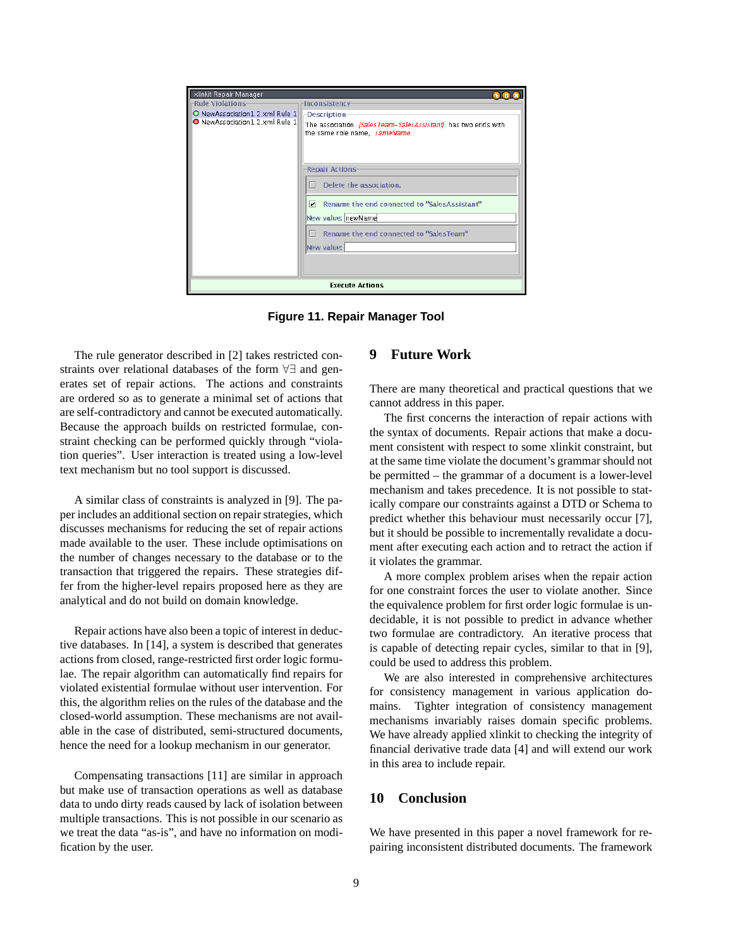| xlinkit Repair Manager          |                                                                                                         |  |  |  |
|---------------------------------|---------------------------------------------------------------------------------------------------------|--|--|--|
| <b>Rule Violations-</b>         | Inconsistency-                                                                                          |  |  |  |
| O NewAssociation 1.2.xml Rule 1 | -Description-                                                                                           |  |  |  |
| O NewAssociation 1.2.xml Rule 1 | The association <i>{Sales Team-Sales Assistant</i> } has two ends with<br>the same role name, sameName. |  |  |  |
|                                 | <b>Repair Actions</b><br>Delete the association.<br>П                                                   |  |  |  |
|                                 | Rename the end connected to "SalesAssistant"<br>☞<br>New value: newName                                 |  |  |  |
|                                 | Rename the end connected to "SalesTeam"                                                                 |  |  |  |
|                                 | New value:                                                                                              |  |  |  |
|                                 |                                                                                                         |  |  |  |
| <b>Execute Actions</b>          |                                                                                                         |  |  |  |

**Figure 11. Repair Manager Tool**

The rule generator described in [2] takes restricted constraints over relational databases of the form ∀∃ and generates set of repair actions. The actions and constraints are ordered so as to generate a minimal set of actions that are self-contradictory and cannot be executed automatically. Because the approach builds on restricted formulae, constraint checking can be performed quickly through "violation queries". User interaction is treated using a low-level text mechanism but no tool support is discussed.

A similar class of constraints is analyzed in [9]. The paper includes an additional section on repair strategies, which discusses mechanisms for reducing the set of repair actions made available to the user. These include optimisations on the number of changes necessary to the database or to the transaction that triggered the repairs. These strategies differ from the higher-level repairs proposed here as they are analytical and do not build on domain knowledge.

Repair actions have also been a topic of interest in deductive databases. In [14], a system is described that generates actions from closed, range-restricted first order logic formulae. The repair algorithm can automatically find repairs for violated existential formulae without user intervention. For this, the algorithm relies on the rules of the database and the closed-world assumption. These mechanisms are not available in the case of distributed, semi-structured documents, hence the need for a lookup mechanism in our generator.

Compensating transactions [11] are similar in approach but make use of transaction operations as well as database data to undo dirty reads caused by lack of isolation between multiple transactions. This is not possible in our scenario as we treat the data "as-is", and have no information on modification by the user.

# **9 Future Work**

There are many theoretical and practical questions that we cannot address in this paper.

The first concerns the interaction of repair actions with the syntax of documents. Repair actions that make a document consistent with respect to some xlinkit constraint, but at the same time violate the document's grammar should not be permitted – the grammar of a document is a lower-level mechanism and takes precedence. It is not possible to statically compare our constraints against a DTD or Schema to predict whether this behaviour must necessarily occur [7], but it should be possible to incrementally revalidate a document after executing each action and to retract the action if it violates the grammar.

A more complex problem arises when the repair action for one constraint forces the user to violate another. Since the equivalence problem for first order logic formulae is undecidable, it is not possible to predict in advance whether two formulae are contradictory. An iterative process that is capable of detecting repair cycles, similar to that in [9], could be used to address this problem.

We are also interested in comprehensive architectures for consistency management in various application domains. Tighter integration of consistency management mechanisms invariably raises domain specific problems. We have already applied xlinkit to checking the integrity of financial derivative trade data [4] and will extend our work in this area to include repair.

# **10 Conclusion**

We have presented in this paper a novel framework for repairing inconsistent distributed documents. The framework